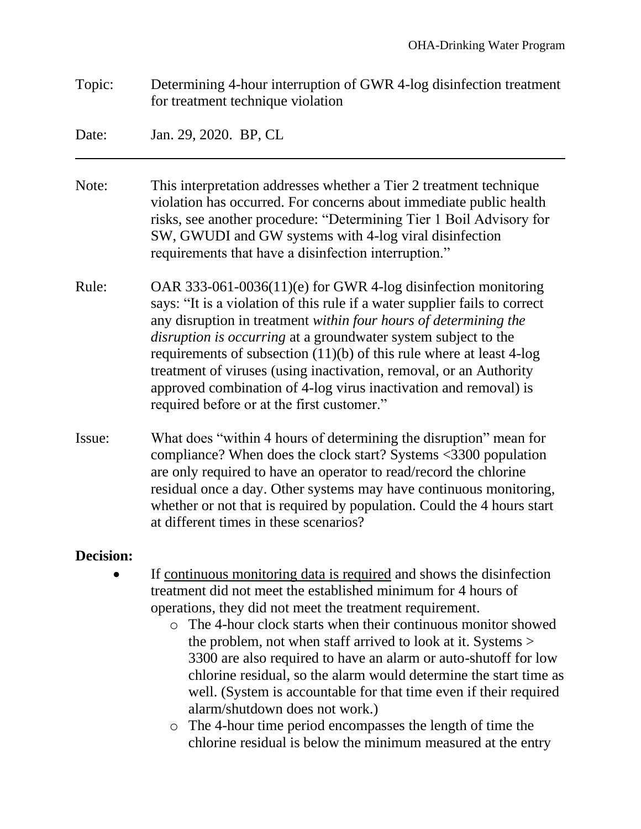Topic: Determining 4-hour interruption of GWR 4-log disinfection treatment for treatment technique violation

Date: Jan. 29, 2020. BP, CL

- Note: This interpretation addresses whether a Tier 2 treatment technique violation has occurred. For concerns about immediate public health risks, see another procedure: "Determining Tier 1 Boil Advisory for SW, GWUDI and GW systems with 4-log viral disinfection requirements that have a disinfection interruption."
- Rule: OAR 333-061-0036(11)(e) for GWR 4-log disinfection monitoring says: "It is a violation of this rule if a water supplier fails to correct any disruption in treatment *within four hours of determining the disruption is occurring* at a groundwater system subject to the requirements of subsection (11)(b) of this rule where at least 4-log treatment of viruses (using inactivation, removal, or an Authority approved combination of 4-log virus inactivation and removal) is required before or at the first customer."
- Issue: What does "within 4 hours of determining the disruption" mean for compliance? When does the clock start? Systems <3300 population are only required to have an operator to read/record the chlorine residual once a day. Other systems may have continuous monitoring, whether or not that is required by population. Could the 4 hours start at different times in these scenarios?

## **Decision:**

- If continuous monitoring data is required and shows the disinfection treatment did not meet the established minimum for 4 hours of operations, they did not meet the treatment requirement.
	- o The 4-hour clock starts when their continuous monitor showed the problem, not when staff arrived to look at it. Systems > 3300 are also required to have an alarm or auto-shutoff for low chlorine residual, so the alarm would determine the start time as well. (System is accountable for that time even if their required alarm/shutdown does not work.)
	- o The 4-hour time period encompasses the length of time the chlorine residual is below the minimum measured at the entry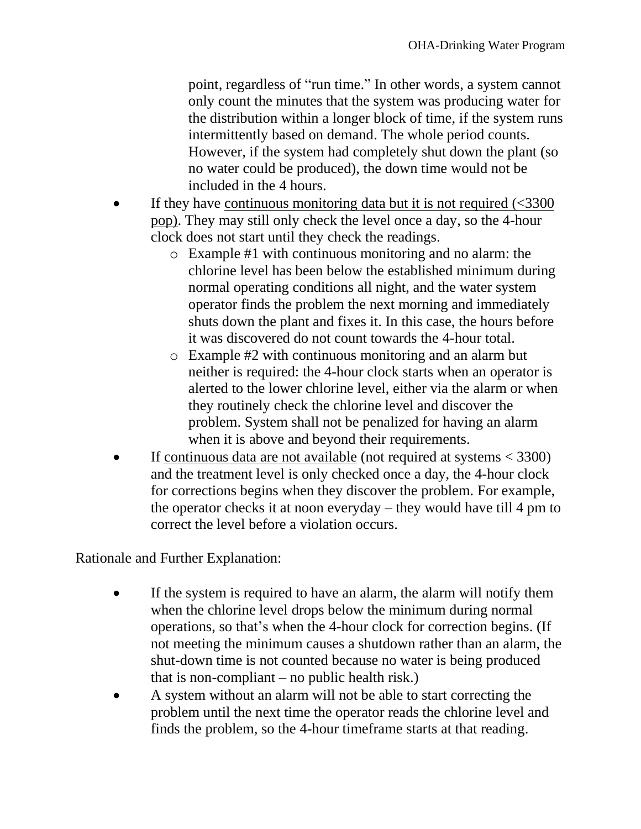point, regardless of "run time." In other words, a system cannot only count the minutes that the system was producing water for the distribution within a longer block of time, if the system runs intermittently based on demand. The whole period counts. However, if the system had completely shut down the plant (so no water could be produced), the down time would not be included in the 4 hours.

- If they have continuous monitoring data but it is not required  $\langle$  <3300 pop). They may still only check the level once a day, so the 4-hour clock does not start until they check the readings.
	- o Example #1 with continuous monitoring and no alarm: the chlorine level has been below the established minimum during normal operating conditions all night, and the water system operator finds the problem the next morning and immediately shuts down the plant and fixes it. In this case, the hours before it was discovered do not count towards the 4-hour total.
	- o Example #2 with continuous monitoring and an alarm but neither is required: the 4-hour clock starts when an operator is alerted to the lower chlorine level, either via the alarm or when they routinely check the chlorine level and discover the problem. System shall not be penalized for having an alarm when it is above and beyond their requirements.
- If continuous data are not available (not required at systems  $<$  3300) and the treatment level is only checked once a day, the 4-hour clock for corrections begins when they discover the problem. For example, the operator checks it at noon everyday – they would have till 4 pm to correct the level before a violation occurs.

Rationale and Further Explanation:

- If the system is required to have an alarm, the alarm will notify them when the chlorine level drops below the minimum during normal operations, so that's when the 4-hour clock for correction begins. (If not meeting the minimum causes a shutdown rather than an alarm, the shut-down time is not counted because no water is being produced that is non-compliant – no public health risk.)
- A system without an alarm will not be able to start correcting the problem until the next time the operator reads the chlorine level and finds the problem, so the 4-hour timeframe starts at that reading.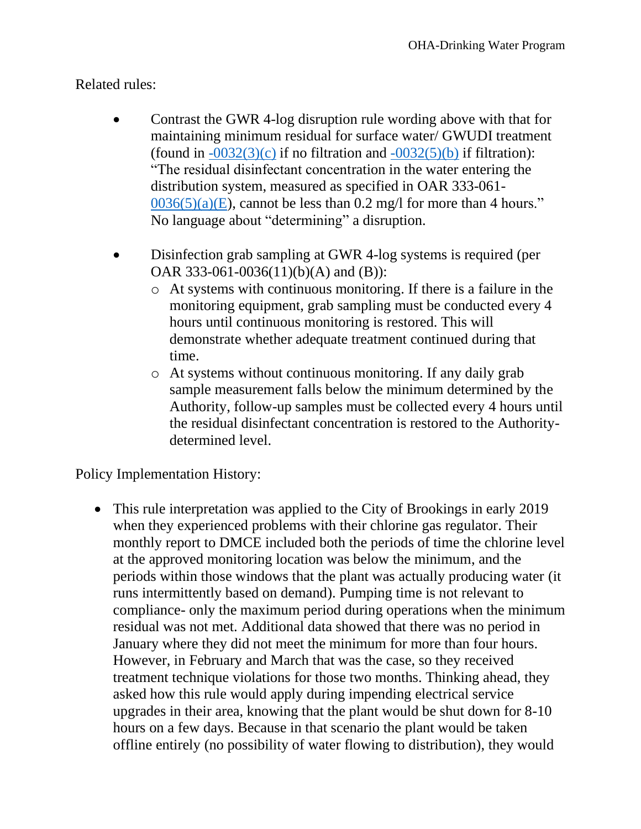## Related rules:

- Contrast the GWR 4-log disruption rule wording above with that for maintaining minimum residual for surface water/ GWUDI treatment (found in  $-0032(3)(c)$  if no filtration and  $-0032(5)(b)$  if filtration): "The residual disinfectant concentration in the water entering the distribution system, measured as specified in OAR 333-061-  $0036(5)(a)(E)$ , cannot be less than 0.2 mg/l for more than 4 hours." No language about "determining" a disruption.
- Disinfection grab sampling at GWR 4-log systems is required (per OAR 333-061-0036(11)(b)(A) and (B)):
	- o At systems with continuous monitoring. If there is a failure in the monitoring equipment, grab sampling must be conducted every 4 hours until continuous monitoring is restored. This will demonstrate whether adequate treatment continued during that time.
	- o At systems without continuous monitoring. If any daily grab sample measurement falls below the minimum determined by the Authority, follow-up samples must be collected every 4 hours until the residual disinfectant concentration is restored to the Authoritydetermined level.

Policy Implementation History:

• This rule interpretation was applied to the City of Brookings in early 2019 when they experienced problems with their chlorine gas regulator. Their monthly report to DMCE included both the periods of time the chlorine level at the approved monitoring location was below the minimum, and the periods within those windows that the plant was actually producing water (it runs intermittently based on demand). Pumping time is not relevant to compliance- only the maximum period during operations when the minimum residual was not met. Additional data showed that there was no period in January where they did not meet the minimum for more than four hours. However, in February and March that was the case, so they received treatment technique violations for those two months. Thinking ahead, they asked how this rule would apply during impending electrical service upgrades in their area, knowing that the plant would be shut down for 8-10 hours on a few days. Because in that scenario the plant would be taken offline entirely (no possibility of water flowing to distribution), they would